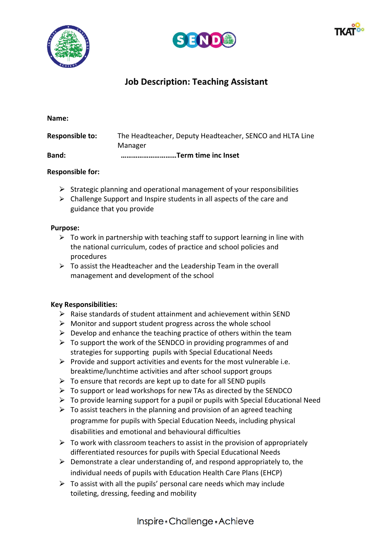





# **Job Description: Teaching Assistant**

| <b>Band:</b>           | Term time inc Inset                                      |  |
|------------------------|----------------------------------------------------------|--|
|                        | Manager                                                  |  |
| <b>Responsible to:</b> | The Headteacher, Deputy Headteacher, SENCO and HLTA Line |  |

### **Responsible for:**

- $\triangleright$  Strategic planning and operational management of your responsibilities
- $\triangleright$  Challenge Support and Inspire students in all aspects of the care and guidance that you provide

#### **Purpose:**

- $\triangleright$  To work in partnership with teaching staff to support learning in line with the national curriculum, codes of practice and school policies and procedures
- $\triangleright$  To assist the Headteacher and the Leadership Team in the overall management and development of the school

## **Key Responsibilities:**

- $\triangleright$  Raise standards of student attainment and achievement within SEND
- $\triangleright$  Monitor and support student progress across the whole school
- $\triangleright$  Develop and enhance the teaching practice of others within the team
- $\triangleright$  To support the work of the SENDCO in providing programmes of and strategies for supporting pupils with Special Educational Needs
- $\triangleright$  Provide and support activities and events for the most vulnerable i.e. breaktime/lunchtime activities and after school support groups
- $\triangleright$  To ensure that records are kept up to date for all SEND pupils
- $\triangleright$  To support or lead workshops for new TAs as directed by the SENDCO
- $\triangleright$  To provide learning support for a pupil or pupils with Special Educational Need
- $\triangleright$  To assist teachers in the planning and provision of an agreed teaching programme for pupils with Special Education Needs, including physical disabilities and emotional and behavioural difficulties
- $\triangleright$  To work with classroom teachers to assist in the provision of appropriately differentiated resources for pupils with Special Educational Needs
- $\triangleright$  Demonstrate a clear understanding of, and respond appropriately to, the individual needs of pupils with Education Health Care Plans (EHCP)
- $\triangleright$  To assist with all the pupils' personal care needs which may include toileting, dressing, feeding and mobility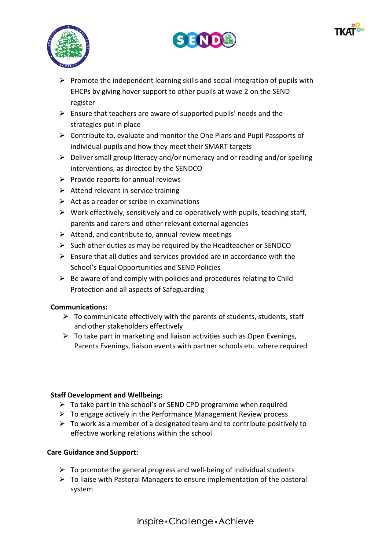





- $\triangleright$  Promote the independent learning skills and social integration of pupils with EHCPs by giving hover support to other pupils at wave 2 on the SEND register
- $\triangleright$  Ensure that teachers are aware of supported pupils' needs and the strategies put in place
- $\triangleright$  Contribute to, evaluate and monitor the One Plans and Pupil Passports of individual pupils and how they meet their SMART targets
- $\triangleright$  Deliver small group literacy and/or numeracy and or reading and/or spelling interventions, as directed by the SENDCO
- $\triangleright$  Provide reports for annual reviews
- $\triangleright$  Attend relevant in-service training
- $\triangleright$  Act as a reader or scribe in examinations
- $\triangleright$  Work effectively, sensitively and co-operatively with pupils, teaching staff, parents and carers and other relevant external agencies
- $\triangleright$  Attend, and contribute to, annual review meetings
- $\triangleright$  Such other duties as may be required by the Headteacher or SENDCO
- $\triangleright$  Ensure that all duties and services provided are in accordance with the School's Equal Opportunities and SEND Policies
- $\triangleright$  Be aware of and comply with policies and procedures relating to Child Protection and all aspects of Safeguarding

# **Communications:**

- $\triangleright$  To communicate effectively with the parents of students, students, staff and other stakeholders effectively
- $\triangleright$  To take part in marketing and liaison activities such as Open Evenings, Parents Evenings, liaison events with partner schools etc. where required

## **Staff Development and Wellbeing:**

- $\triangleright$  To take part in the school's or SEND CPD programme when required
- $\triangleright$  To engage actively in the Performance Management Review process
- $\triangleright$  To work as a member of a designated team and to contribute positively to effective working relations within the school

# **Care Guidance and Support:**

- $\triangleright$  To promote the general progress and well-being of individual students
- $\triangleright$  To liaise with Pastoral Managers to ensure implementation of the pastoral system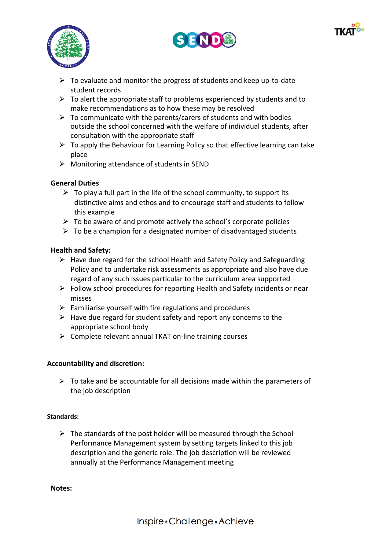





- $\triangleright$  To evaluate and monitor the progress of students and keep up-to-date student records
- $\triangleright$  To alert the appropriate staff to problems experienced by students and to make recommendations as to how these may be resolved
- $\triangleright$  To communicate with the parents/carers of students and with bodies outside the school concerned with the welfare of individual students, after consultation with the appropriate staff
- $\triangleright$  To apply the Behaviour for Learning Policy so that effective learning can take place
- $\triangleright$  Monitoring attendance of students in SEND

## **General Duties**

- $\triangleright$  To play a full part in the life of the school community, to support its distinctive aims and ethos and to encourage staff and students to follow this example
- $\triangleright$  To be aware of and promote actively the school's corporate policies
- $\triangleright$  To be a champion for a designated number of disadvantaged students

## **Health and Safety:**

- $\triangleright$  Have due regard for the school Health and Safety Policy and Safeguarding Policy and to undertake risk assessments as appropriate and also have due regard of any such issues particular to the curriculum area supported
- $\triangleright$  Follow school procedures for reporting Health and Safety incidents or near misses
- $\triangleright$  Familiarise yourself with fire regulations and procedures
- $\triangleright$  Have due regard for student safety and report any concerns to the appropriate school body
- $\triangleright$  Complete relevant annual TKAT on-line training courses

## **Accountability and discretion:**

 $\triangleright$  To take and be accountable for all decisions made within the parameters of the job description

#### **Standards:**

 $\triangleright$  The standards of the post holder will be measured through the School Performance Management system by setting targets linked to this job description and the generic role. The job description will be reviewed annually at the Performance Management meeting

**Notes:**